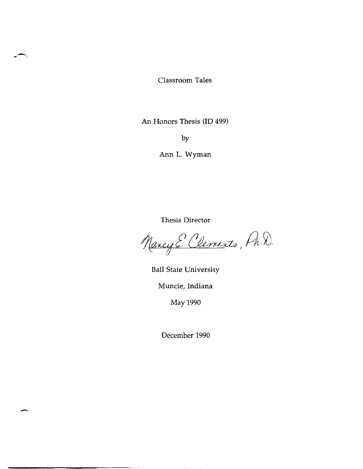Classroom Tales

An Honors Thesis (ID 499)

by

Ann L. Wyman

Thesis Director

Mancy E. Clements, Pr. D.

Ball State University Muncie, Indiana May 1990

December 1990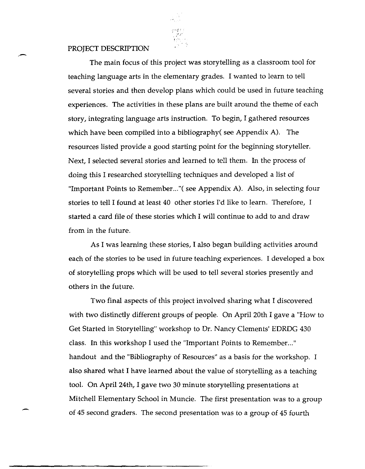## PROJECT DESCRIPTION

The main focus of this project was storytelling as a classroom tool for teaching language arts in the elementary grades. I wanted to learn to tell several stories and then develop plans which could be used in future teaching experiences. The activities in these plans are built around the theme of each story, integrating language arts instruction. To begin, I gathered resources which have been compiled into a bibliography( see Appendix A). The resources listed provide a good starting point for the beginning storyteller. Next, I selected several stories and learned to tell them. **In** the process of doing this I researched storytelling techniques and developed a list of "Important Points to Remember..." (see Appendix A). Also, in selecting four stories to tell I found at least 40 other stories I'd like to learn. Therefore, I started a card file of these stories which I will continue to add to and draw from in the future.

As I was learning these stories, I also began building activities around each of the stories to be used in future teaching experiences. I developed a box of storytelling props which will be used to tell several stories presently and others in the future.

Two final aspects of this project involved sharing what I discovered with two distinctly different groups of people. On April 20th I gave a "How to Get Started in Storytelling" workshop to Dr. Nancy Clements' EDRDG 430 class. **In** this workshop I used the "Important Points to Remember. .. " handout and the "Bibliography of Resources" as a basis for the workshop. I also shared what I have learned about the value of storytelling as a teaching tool. On April 24th, I gave two 30 minute storytelling presentations at Mitchell Elementary School in Muncie. The first presentation was to a group of 45 second graders. The second presentation was to a group of 45 fourth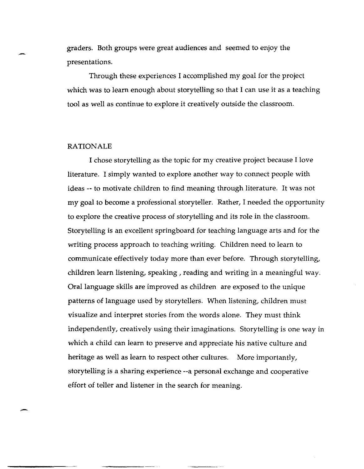graders. Both groups were great audiences and seemed to enjoy the presentations.

Through these experiences I accomplished my goal for the project which was to learn enough about storytelling so that I can use it as a teaching tool as well as continue to explore it creatively outside the classroom.

#### RATIONALE

-

I chose storytelling as the topic for my creative project because I love literature. I simply wanted to explore another way to connect people with ideas -- to motivate children to find meaning through literature. It was not my goal to become a professional storyteller. Rather, I needed the opportunity to explore the creative process of storytelling and its role in the classroom. Storytelling is an excellent springboard for teaching language arts and for the writing process approach to teaching writing. Children need to learn to communicate effectively today more than ever before. Through storytelling, children learn listening, speaking, reading and writing in a meaningful way. Oral language skills are improved as children are exposed to the unique patterns of language used by storytellers. When listening, children must visualize and interpret stories from the words alone. They must think independently, creatively using their imaginations. Storytelling is one way in which a child can learn to preserve and appreciate his native culture and heritage as well as learn to respect other cultures. More importantly, storytelling is a sharing experience --a personal exchange and cooperative effort of teller and listener in the search for meaning.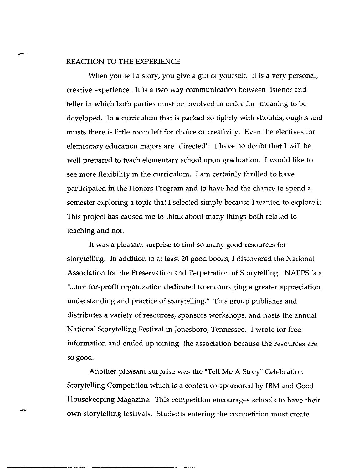## REACTION TO THE EXPERIENCE

When you tell a story, you give a gift of yourself. It is a very personal, creative experience. It is a two way communication between listener and teller in which both parties must be involved in order for meaning to be developed. In a curriculum that is packed so tightly with shoulds, oughts and musts there is little room left for choice or creativity. Even the electives for elementary education majors are "directed". I have no doubt that I will be well prepared to teach elementary school upon graduation. I would like to see more flexibility in the curriculum. I am certainly thrilled to have participated in the Honors Program and to have had the chance to spend a semester exploring a topic that I selected simply because I wanted to explore it. This project has caused me to think about many things both related to teaching and not.

It was a pleasant surprise to find so many good resources for storytelling. In addition to at least 20 good books, I discovered the National Association for the Preservation and Perpetration of Storytelling. NAPPS is a "... not-for-profit organization dedicated to encouraging a greater appreciation, understanding and practice of storytelling." This group publishes and distributes a variety of resources, sponsors workshops, and hosts the annual National Storytelling Festival in Jonesboro, Tennessee. I wrote for free information and ended up joining the association because the resources are so good.

Another pleasant surprise was the "Tell Me A Story" Celebration Storytelling Competition which is a contest co-sponsored by IBM and Good Housekeeping Magazine. This competition encourages schools to have their own storytelling festivals. Students entering the competition must create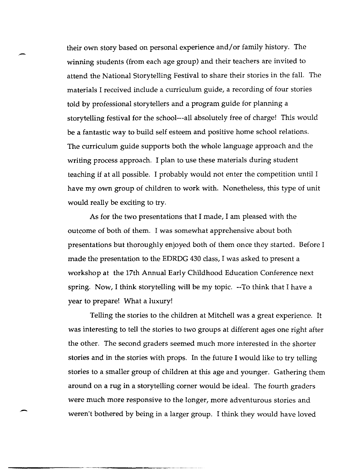their own story based on personal experience and/ or family history. The winning students (from each age group) and their teachers are invited to attend the National Storytelling Festival to share their stories in the fall. The materials I received include a curriculum guide, a recording of four stories told by professional storytellers and a program guide for planning a storytelling festival for the school---all absolutely free of charge! This would be a fantastic way to build self esteem and positive home school relations. The curriculum guide supports both the whole language approach and the writing process approach. I plan to use these materials during student teaching if at all possible. I probably would not enter the competition until I have my own group of children to work with. Nonetheless, this type of unit would really be exciting to try.

As for the two presentations that I made, I am pleased with the outcome of both of them. I was somewhat apprehensive about both presentations but thoroughly enjoyed both of them once they started. Before I made the presentation to the EDRDG 430 class, I was asked to present a workshop at the 17th Annual Early Childhood Education Conference next spring. Now, I think storytelling will be my topic. --To think that I have a year to prepare! What a luxury!

Telling the stories to the children at Mitchell was a great experience. It was interesting to tell the stories to two groups at different ages one right after the other. The second graders seemed much more interested in the shorter stories and in the stories with props. In the future I would like to try telling stories to a smaller group of children at this age and younger. Gathering them around on a rug in a storytelling corner would be ideal. The fourth graders were much more responsive to the longer, more adventurous stories and weren't bothered by being in a larger group. I think they would have loved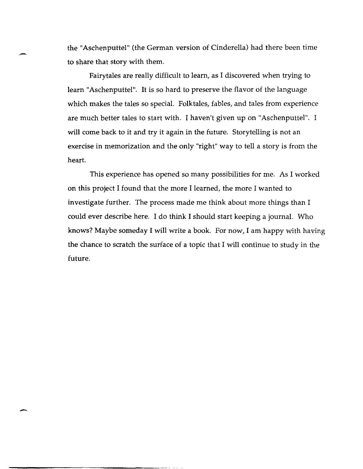the "Aschenputtel" (the German version of Cinderella) had there been time to share that story with them.

Fairy tales are really difficult to learn, as I discovered when trying to learn "Aschenputtel". It is so hard to preserve the flavor of the language which makes the tales so special. Folktales, fables, and tales from experience are much better tales to start with. I haven't given up on "Aschenputtel". I will come back to it and try it again in the future. Storytelling is not an exercise in memorization and the only "right" way to tell a story is from the heart.

This experience has opened so many possibilities for me. As I worked on this project I found that the more I learned, the more I wanted to investigate further. The process made me think about more things than I could ever describe here. I do think I should start keeping a journal. Who knows? Maybe someday I will write a book. For now, I am happy with having the chance to scratch the surface of a topic that I will continue to study in the future.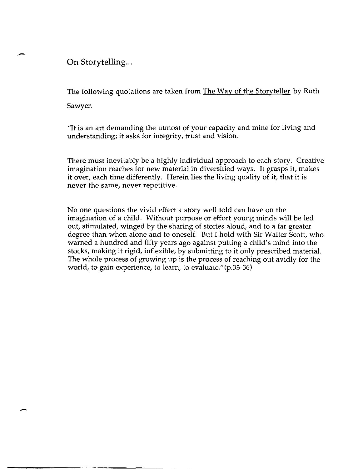**On Storytelling...** 

-

The following quotations are taken from The Way of the Storyteller by Ruth Sawyer.

"It is an art demanding the utmost of your capacity and mine for living and understanding; it asks for integrity, trust and vision.

There must inevitably be a highly individual approach to each story. Creative imagination reaches for new material in diversified ways. It grasps it, makes it over, each time differently. Herein lies the living quality of it, that it is never the same, never repetitive.

No one questions the vivid effect a story well told can have on the imagination of a child. Without purpose or effort young minds will be led out, stimulated, winged by the sharing of stories aloud, and to a far greater degree than when alone and to oneself. But I hold with Sir Walter Scott, who warned a hundred and fifty years ago against putting a child's mind into the stocks, making it rigid, inflexible, by submitting to it only prescribed material. The whole process of growing up is the process of reaching out avidly for the world, to gain experience, to learn, to evaluate."(p.33-36)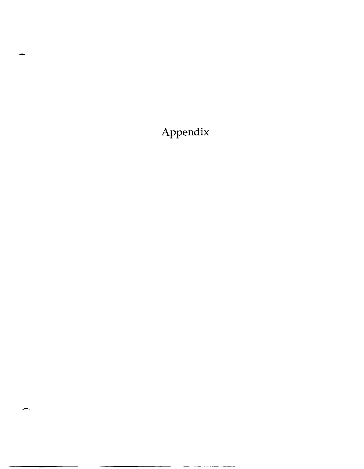**Appendix** 

"-------------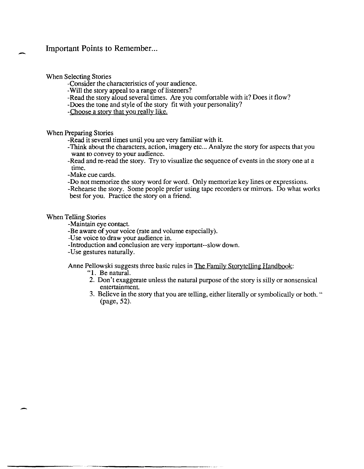# Important Points to Remember...

When Selecting Stories

-Consider the characteristics of your audience.

- -Will the story appeal to a range of listeners?
- -Read the story aloud several times. Are you comfortable with it? Does it flow?
- -Does the tone and style of the story fit with your personality?
- -Choose a story that you really like.

When Preparing Stories

-Read it several times until you are very familiar with it.

- -Think about the characters, action, imagery etc ... Analyze the story for aspects that you want to convey to your audience.
- -Read and re-read the story. Try to visualize the sequence of events in the story one at a time.
- -Make cue cards.
- -Do not memorize the story word for word. Only memorize key lines or expressions.

-Rehearse the story. Some people prefer using tape recorders or mirrors. Do what works best for you. Practice the story on a friend.

## When Telling Stories

-Maintain eye contact.

- -Be aware of your voice (rate and volume especially).
- -U se voice to draw your audience in.
- -Introduction and conclusion are very important--slow down.
- -Use gestures naturally.

Anne Pellowski suggests three basic rules in The Family Storytelling Handbook:

- "I. Be natural.
- 2. Don't exaggerate unless the natural purpose of the story is silly or nonsensical entertainment.
- 3. Believe in the story that you are telling, either literally or symbolically or both. " (page, 52).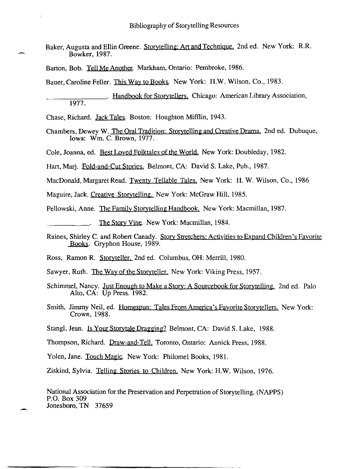- Baker, Augusta and Ellin Greene. Storytelling: Art and Technique. 2nd ed. New York: R.R. Bowker, 1987.
- Barton, Bob. Tell Me Another. Markham, Ontario: Pembroke, 1986.

Bauer, Caroline Feller. This Way to Books. New York: H.W. Wilson, Co., 1983.

Chase, Richard. Jack Tales. Boston: Houghton Mifflin, 1943.

Chambers, Dewey W. The Oral Tradition: Storytelling and Creative Drama. 2nd ed. Dubuque, Iowa: Wm. C. Brown, 1977.

Cole, Joanna, ed. Best Loved Folktales of the World. New York: Doubleday, 1982.

Hart, Marj. Fold-and-Cut Stories. Belmont, CA: David S. Lake, Pub., 1987.

MacDonald, Margaret Read. Twenty Tellable Tales. New York: H. W. Wilson, Co., 1986

Maguire, Jack. Creative Storytelling. New York: McGraw Hill, 1985.

Pellowski, Anne. The Family Storytelling Handbook. New York: Macmillan, 1987.

The Story Vine. New York: Macmillan, 1984.

- Raines, Shirley C. and Robert Canady. Story Stretchers: Activities to Expand Children's Favorite Books. Gryphon House, 1989.
- Ross, Ramon R. Storyteller. 2nd ed. Columbus, OH: Merrill, 1980.

Sawyer, Ruth. The Way of the Storyteller. New York: Viking Press, 1957.

- Schimmel, Nancy. Just Enough to Make a Story: A Sourcebook for Storytelling. 2nd ed. Palo Alto, CA: Up Press. 1982.
- Smith, Jimmy Neil, ed. Homespun: Tales From America's Favorite Storytellers. New York: Crown, 1988.
- Stangl, Jean. Is Your Storytale Dragging? Belmont, CA: David S. Lake, 1988.

Thompson, Richard. Draw-and-Tell. Toronto, Ontario: Annick Press, 1988.

Yolen, Jane. Touch Magic. New York: Philomel Books, 1981.

Ziskind, Sylvia. Telling Stories to Children. New York: H.W. Wilson, 1976.

National Association for the Preservation and Perpetration of Storytelling. (NAPPS) P.O. Box 309 Jonesboro, TN 37659

<sup>.</sup> Handbook for Storytellers. Chicago: American Library Association, 1977.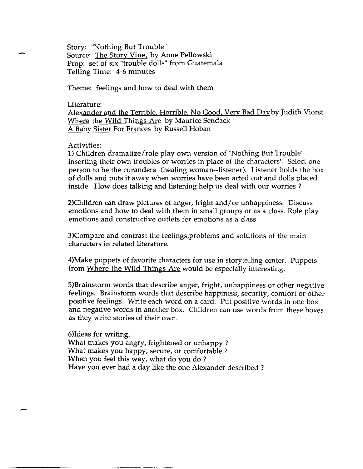Story: "Nothing But Trouble" Source: The Story Vine, by Anne Pellowski Prop: set of six "trouble dolls" from Guatemala Telling Time: 4-6 minutes

Theme: feelings and how to deal with them

## Literature:

Alexander and the Terrible, Horrible, No Good, Very Bad Dayby Judith Viorst Where the Wild Things Are by Maurice Sendack A Baby Sister For Frances by Russell Hoban

# Activities:

1) Children dramatize/role play own version of "Nothing But Trouble" inserting their own troubles or worries in place of the characters'. Select one person to be the curandera (healing woman--listener). Listener holds the box of dolls and puts it away when worries have been acted out and dolls placed inside. How does talking and listening help us deal with our worries?

2)Children can draw pictures of anger, fright and/or unhappiness. Discuss emotions and how to deal with them in small groups or as a class. Role play emotions and constructive outlets for emotions as a class.

3)Compare and contrast the feelings,problems and solutions of the main characters in related literature.

4)Make puppets of favorite characters for use in storytelling center. Puppets from Where the Wild Things Are would be especially interesting.

5)Brainstorm words that describe anger, fright, unhappiness or other negative feelings. Brainstorm words that describe happiness, security, comfort or other positive feelings. Write each word on a card. Put positive words in one box and negative words in another box. Children can use words from these boxes as they write stories of their own.

6)Ideas for writing: What makes you angry, frightened or unhappy? What makes you happy, secure, or comfortable? When you feel this way, what do you do ? Have you ever had a day like the one Alexander described?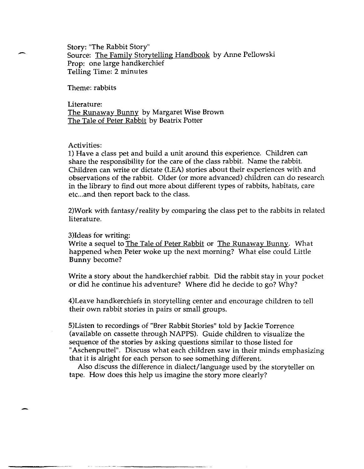Story: "The Rabbit Story" Source: The Family Storytelling Handbook by Anne Pellowski Prop: one large handkerchief Telling Time: 2 minutes

Theme: rabbits

Literature: The Runaway Bunny by Margaret Wise Brown The Tale of Peter Rabbit by Beatrix Potter

### Activities:

1) Have a class pet and build a unit around this experience. Children can share the responsibility for the care of the class rabbit. Name the rabbit. Children can write or dictate (LEA) stories about their experiences with and observations of the rabbit. Older (or more advanced) children can do research in the library to find out more about different types of rabbits, habitats, care etc... and then report back to the class.

2)Work with fantasy/reality by comparing the class pet to the rabbits in related literature.

#### 3)Ideas for writing:

Write a sequel to The Tale of Peter Rabbit or The Runaway Bunny. What happened when Peter woke up the next morning? What else could Little Bunny become?

Write a story about the handkerchief rabbit. Did the rabbit stay in your pocket or did he continue his adventure? Where did he decide to go? Why?

4)Leave handkerchiefs in storytelling center and encourage children to tell their own rabbit stories in pairs or small groups.

5)Listen to recordings of "Brer Rabbit Stories" told by Jackie Torrence (available on cassette through NAPPS). Guide children to visualize the sequence of the stories by asking questions similar to those listed for "Aschenputtel". Discuss what each children saw in their minds emphasizing that it is alright for each person to see something different.

Also discuss the difference in dialect/language used by the storyteller on tape. How does this help us imagine the story more clearly?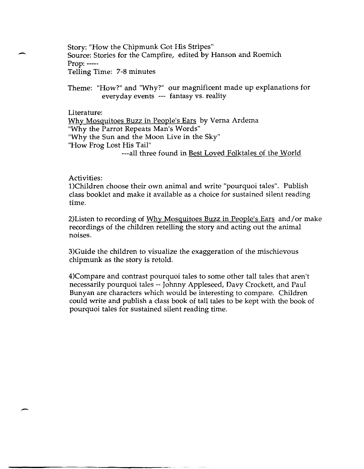- Story: "How the Chipmunk Got His Stripes" Source: Stories for the Campfire, edited by Hanson and Roemich Prop: ---- Telling Time: 7-8 minutes

> Theme: "How?" and "Why?" our magnificent made up explanations for everyday events --- fantasy vs. reality

Literature:

Why Mosquitoes Buzz in People's Ears by Verna Ardema "Why the Parrot Repeats Man's Words" "Why the Sun and the Moon Live in the Sky" "How Frog Lost His Tail" ---all three found in Best Loved Folktales of the World

Activities:

l)Children choose their own animal and write "pourquoi tales". Publish class booklet and make it available as a choice for sustained silent reading time.

2)Listen to recording of Why Mosquitoes Buzz in People's Ears and/or make recordings of the children retelling the story and acting out the animal noises.

3)Guide the children to visualize the exaggeration of the mischievous chipmunk as the story is retold.

4)Compare and contrast pourquoi tales to some other tall tales that aren't necessarily pourquoi tales -- Johnny Appleseed, Davy Crockett, and Paul Bunyan are characters which would be interesting to compare. Children could write and publish a class book of tall tales to be kept with the book of pourquoi tales for sustained silent reading time.